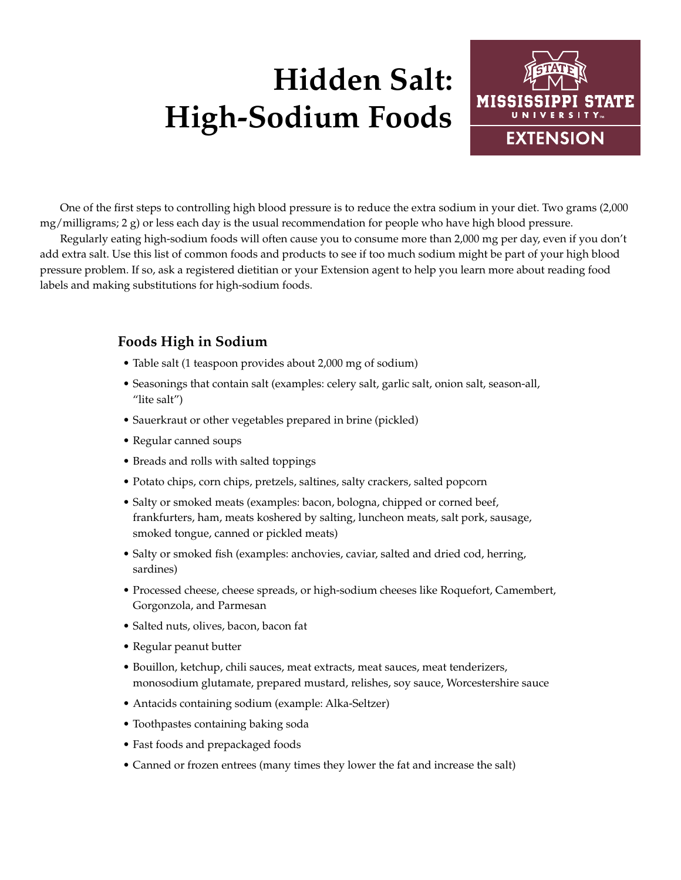## **Hidden Salt: High-Sodium Foods**



One of the first steps to controlling high blood pressure is to reduce the extra sodium in your diet. Two grams (2,000 mg/milligrams; 2 g) or less each day is the usual recommendation for people who have high blood pressure.

Regularly eating high-sodium foods will often cause you to consume more than 2,000 mg per day, even if you don't add extra salt. Use this list of common foods and products to see if too much sodium might be part of your high blood pressure problem. If so, ask a registered dietitian or your Extension agent to help you learn more about reading food labels and making substitutions for high-sodium foods.

## **Foods High in Sodium**

- Table salt (1 teaspoon provides about 2,000 mg of sodium)
- Seasonings that contain salt (examples: celery salt, garlic salt, onion salt, season-all, "lite salt")
- Sauerkraut or other vegetables prepared in brine (pickled)
- Regular canned soups
- Breads and rolls with salted toppings
- Potato chips, corn chips, pretzels, saltines, salty crackers, salted popcorn
- Salty or smoked meats (examples: bacon, bologna, chipped or corned beef, frankfurters, ham, meats koshered by salting, luncheon meats, salt pork, sausage, smoked tongue, canned or pickled meats)
- Salty or smoked fish (examples: anchovies, caviar, salted and dried cod, herring, sardines)
- Processed cheese, cheese spreads, or high-sodium cheeses like Roquefort, Camembert, Gorgonzola, and Parmesan
- Salted nuts, olives, bacon, bacon fat
- Regular peanut butter
- Bouillon, ketchup, chili sauces, meat extracts, meat sauces, meat tenderizers, monosodium glutamate, prepared mustard, relishes, soy sauce, Worcestershire sauce
- Antacids containing sodium (example: Alka-Seltzer)
- Toothpastes containing baking soda
- Fast foods and prepackaged foods
- Canned or frozen entrees (many times they lower the fat and increase the salt)